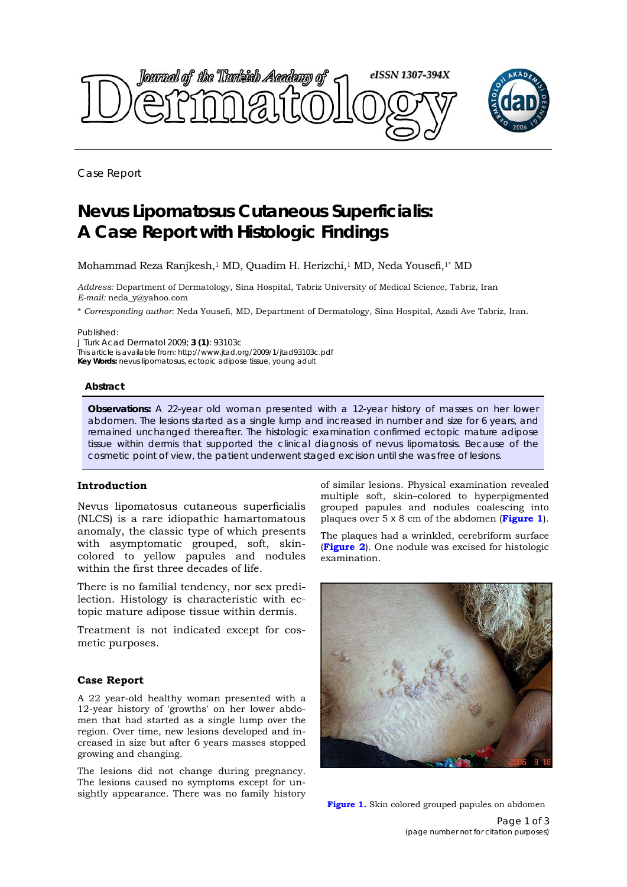

Case Report

# **Nevus Lipomatosus Cutaneous Superficialis: A Case Report with Histologic Findings**

Mohammad Reza Ranjkesh,1 MD, Quadim H. Herizchi,1 MD, Neda Yousefi,1\* MD

*Address:* Department of Dermatology, Sina Hospital, Tabriz University of Medical Science, Tabriz, Iran *E-mail:* neda\_y@yahoo.com

\* *Corresponding author*: Neda Yousefi, MD, Department of Dermatology, Sina Hospital, Azadi Ave Tabriz, Iran.

Published:

*J Turk Acad Dermatol* 2009; **3 (1)**: 93103c This article is available from: http://www.jtad.org/2009/1/jtad93103c.pdf **Key Words:** nevus lipomatosus, ectopic adipose tissue, young adult

#### **Abstract**

**Observations:** A 22-year old woman presented with a 12-year history of masses on her lower abdomen. The lesions started as a single lump and increased in number and size for 6 years, and remained unchanged thereafter. The histologic examination confirmed ectopic mature adipose tissue within dermis that supported the clinical diagnosis of nevus lipomatosis. Because of the cosmetic point of view, the patient underwent staged excision until she was free of lesions.

## **Introduction**

Nevus lipomatosus cutaneous superficialis (NLCS) is a rare idiopathic hamartomatous anomaly, the classic type of which presents with asymptomatic grouped, soft, skincolored to yellow papules and nodules within the first three decades of life.

There is no familial tendency, nor sex predilection. Histology is characteristic with ectopic mature adipose tissue within dermis.

Treatment is not indicated except for cosmetic purposes.

#### **Case Report**

A 22 year-old healthy woman presented with a 12-year history of 'growths' on her lower abdomen that had started as a single lump over the region. Over time, new lesions developed and increased in size but after 6 years masses stopped growing and changing.

The lesions did not change during pregnancy. The lesions caused no symptoms except for unsightly appearance. There was no family history of similar lesions. Physical examination revealed multiple soft, skin–colored to hyperpigmented grouped papules and nodules coalescing into plaques over 5 x 8 cm of the abdomen (**Figure 1**).

The plaques had a wrinkled, cerebriform surface (**Figure 2**). One nodule was excised for histologic examination.



**Figure 1.** Skin colored grouped papules on abdomen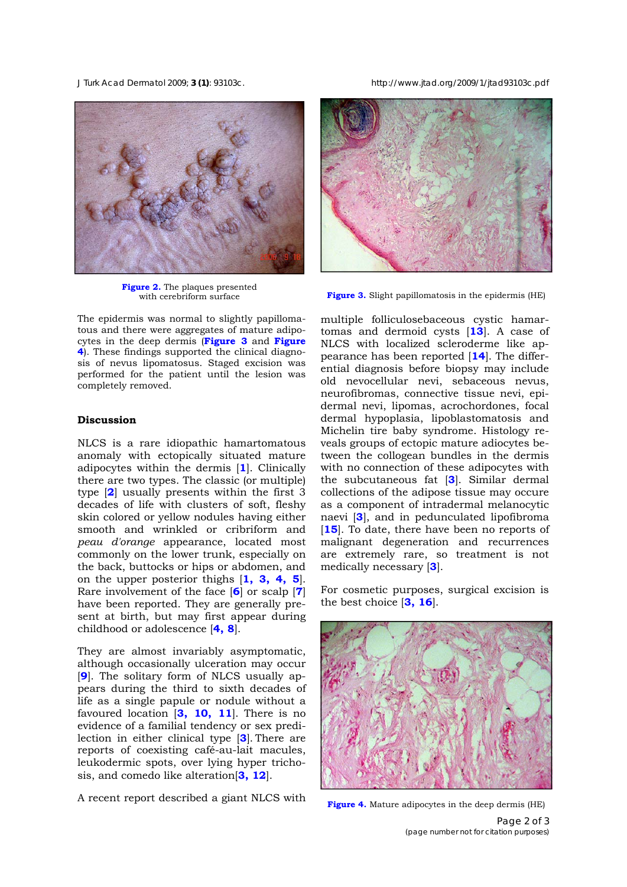*J Turk Acad Dermatol* 2009; **3 (1)**: 93103c. http://www.jtad.org/2009/1/jtad93103c.pdf



**Figure 2.** The plaques presented<br>with cerebriform surface

The epidermis was normal to slightly papillomatous and there were aggregates of mature adipocytes in the deep dermis (**Figure 3** and **Figure 4**). These findings supported the clinical diagnosis of nevus lipomatosus. Staged excision was performed for the patient until the lesion was completely removed.

# **Discussion**

NLCS is a rare idiopathic hamartomatous anomaly with ectopically situated mature adipocytes within the dermis [**1**]. Clinically there are two types. The classic (or multiple) type [**2**] usually presents within the first 3 decades of life with clusters of soft, fleshy skin colored or yellow nodules having either smooth and wrinkled or cribriform and *peau d'orange* appearance, located most commonly on the lower trunk, especially on the back, buttocks or hips or abdomen, and on the upper posterior thighs [**1, 3, 4, 5**]. Rare involvement of the face [**6**] or scalp [**7**] have been reported. They are generally present at birth, but may first appear during childhood or adolescence [**4, 8**].

They are almost invariably asymptomatic, although occasionally ulceration may occur [**9**]. The solitary form of NLCS usually appears during the third to sixth decades of life as a single papule or nodule without a favoured location [**3, 10, 11**]. There is no evidence of a familial tendency or sex predilection in either clinical type [**3**]. There are reports of coexisting café-au-lait macules, leukodermic spots, over lying hyper trichosis, and comedo like alteration[**3, 12**].

A recent report described a giant NLCS with



**Figure 3.** Slight papillomatosis in the epidermis (HE)

multiple folliculosebaceous cystic hamartomas and dermoid cysts [**13**]. A case of NLCS with localized scleroderme like appearance has been reported [**14**]. The differential diagnosis before biopsy may include old nevocellular nevi, sebaceous nevus, neurofibromas, connective tissue nevi, epidermal nevi, lipomas, acrochordones, focal dermal hypoplasia, lipoblastomatosis and Michelin tire baby syndrome. Histology reveals groups of ectopic mature adiocytes between the collogean bundles in the dermis with no connection of these adipocytes with the subcutaneous fat [**3**]. Similar dermal collections of the adipose tissue may occure as a component of intradermal melanocytic naevi [**3**], and in pedunculated lipofibroma [15]. To date, there have been no reports of malignant degeneration and recurrences are extremely rare, so treatment is not medically necessary [**3**].

For cosmetic purposes, surgical excision is the best choice [**3, 16**].



**Figure 4.** Mature adipocytes in the deep dermis (HE)